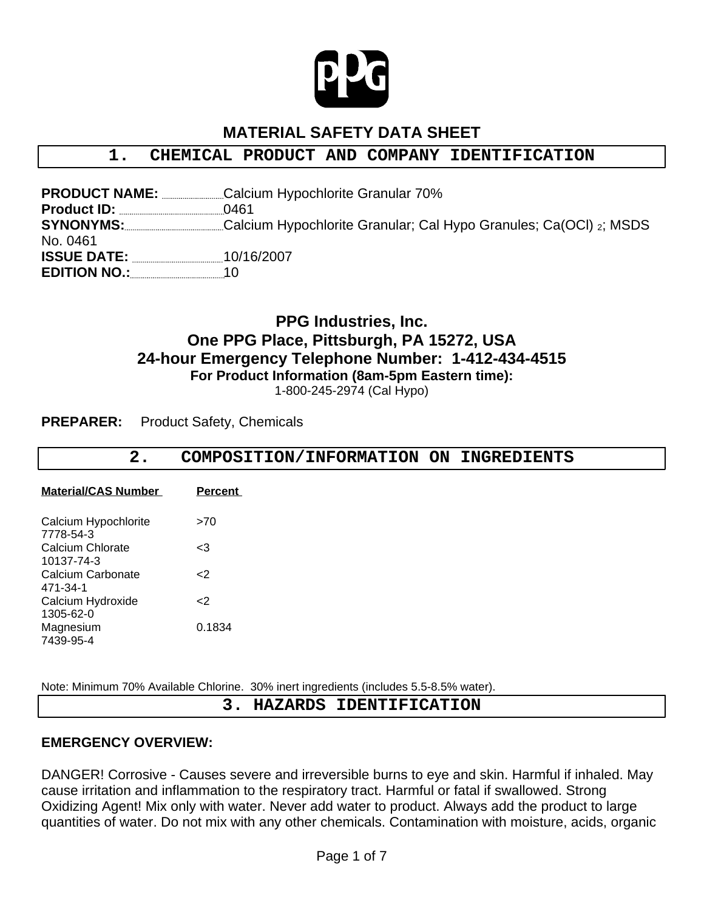

# **MATERIAL SAFETY DATA SHEET**

## **1. CHEMICAL PRODUCT AND COMPANY IDENTIFICATION**

|                                                | <b>PRODUCT NAME:</b> Calcium Hypochlorite Granular 70%                             |
|------------------------------------------------|------------------------------------------------------------------------------------|
|                                                | 0461                                                                               |
|                                                | <b>SYNONYMS:</b> Calcium Hypochlorite Granular; Cal Hypo Granules; Ca(OCI) 2; MSDS |
| No. 0461                                       |                                                                                    |
| <b>ISSUE DATE:</b> _________________10/16/2007 |                                                                                    |
| <b>EDITION NO.:</b>                            | 10                                                                                 |

## **PPG Industries, Inc. One PPG Place, Pittsburgh, PA 15272, USA 24-hour Emergency Telephone Number: 1-412-434-4515 For Product Information (8am-5pm Eastern time):** 1-800-245-2974 (Cal Hypo)

#### **PREPARER:** Product Safety, Chemicals

| 2.                                | COMPOSITION/INFORMATION ON INGREDIENTS |  |
|-----------------------------------|----------------------------------------|--|
| <b>Material/CAS Number</b>        | <b>Percent</b>                         |  |
| Calcium Hypochlorite<br>7778-54-3 | >70                                    |  |
| Calcium Chlorate<br>10137-74-3    | $<$ 3                                  |  |
| Calcium Carbonate<br>471-34-1     | $\leq$                                 |  |
| Calcium Hydroxide<br>1305-62-0    | $\leq$                                 |  |
| Magnesium<br>7439-95-4            | 0.1834                                 |  |

Note: Minimum 70% Available Chlorine. 30% inert ingredients (includes 5.5-8.5% water).

**3. HAZARDS IDENTIFICATION**

## **EMERGENCY OVERVIEW:**

DANGER! Corrosive - Causes severe and irreversible burns to eye and skin. Harmful if inhaled. May cause irritation and inflammation to the respiratory tract. Harmful or fatal if swallowed. Strong Oxidizing Agent! Mix only with water. Never add water to product. Always add the product to large quantities of water. Do not mix with any other chemicals. Contamination with moisture, acids, organic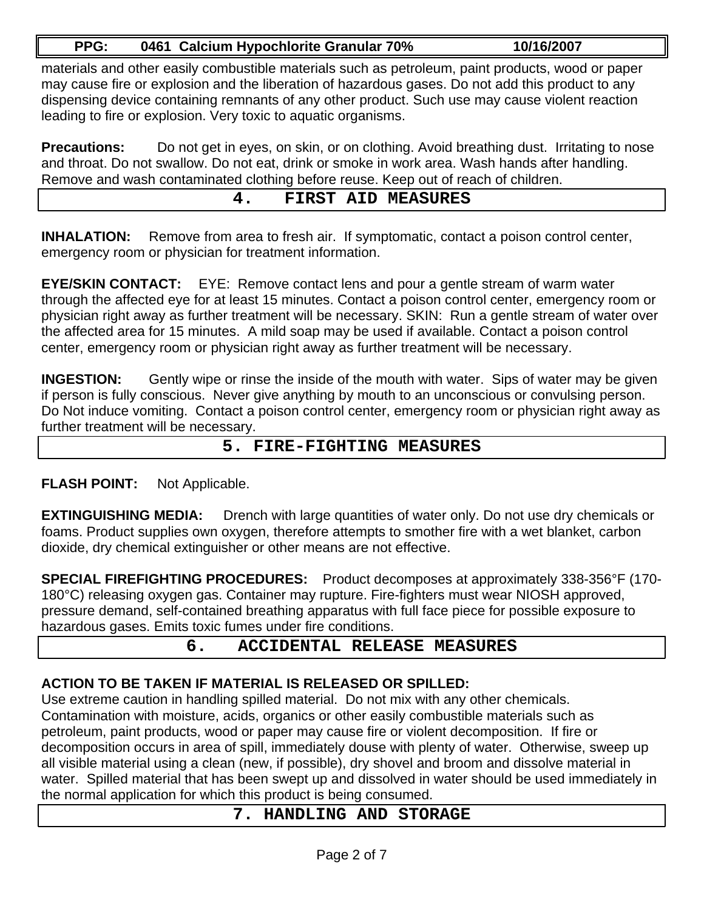#### **PPG: 0461 Calcium Hypochlorite Granular 70% 10/16/2007**

materials and other easily combustible materials such as petroleum, paint products, wood or paper may cause fire or explosion and the liberation of hazardous gases. Do not add this product to any dispensing device containing remnants of any other product. Such use may cause violent reaction leading to fire or explosion. Very toxic to aquatic organisms.

**Precautions:** Do not get in eyes, on skin, or on clothing. Avoid breathing dust. Irritating to nose and throat. Do not swallow. Do not eat, drink or smoke in work area. Wash hands after handling. Remove and wash contaminated clothing before reuse. Keep out of reach of children.

#### **4. FIRST AID MEASURES**

**INHALATION:** Remove from area to fresh air. If symptomatic, contact a poison control center, emergency room or physician for treatment information.

**EYE/SKIN CONTACT:** EYE: Remove contact lens and pour a gentle stream of warm water through the affected eye for at least 15 minutes. Contact a poison control center, emergency room or physician right away as further treatment will be necessary. SKIN: Run a gentle stream of water over the affected area for 15 minutes. A mild soap may be used if available. Contact a poison control center, emergency room or physician right away as further treatment will be necessary.

**INGESTION:** Gently wipe or rinse the inside of the mouth with water. Sips of water may be given if person is fully conscious. Never give anything by mouth to an unconscious or convulsing person. Do Not induce vomiting. Contact a poison control center, emergency room or physician right away as further treatment will be necessary.

#### **5. FIRE-FIGHTING MEASURES**

**FLASH POINT:** Not Applicable.

**EXTINGUISHING MEDIA:** Drench with large quantities of water only. Do not use dry chemicals or foams. Product supplies own oxygen, therefore attempts to smother fire with a wet blanket, carbon dioxide, dry chemical extinguisher or other means are not effective.

**SPECIAL FIREFIGHTING PROCEDURES:** Product decomposes at approximately 338-356°F (170- 180°C) releasing oxygen gas. Container may rupture. Fire-fighters must wear NIOSH approved, pressure demand, self-contained breathing apparatus with full face piece for possible exposure to hazardous gases. Emits toxic fumes under fire conditions.

#### **6. ACCIDENTAL RELEASE MEASURES**

## **ACTION TO BE TAKEN IF MATERIAL IS RELEASED OR SPILLED:**

Use extreme caution in handling spilled material. Do not mix with any other chemicals. Contamination with moisture, acids, organics or other easily combustible materials such as petroleum, paint products, wood or paper may cause fire or violent decomposition. If fire or decomposition occurs in area of spill, immediately douse with plenty of water. Otherwise, sweep up all visible material using a clean (new, if possible), dry shovel and broom and dissolve material in water. Spilled material that has been swept up and dissolved in water should be used immediately in the normal application for which this product is being consumed.

## **7. HANDLING AND STORAGE**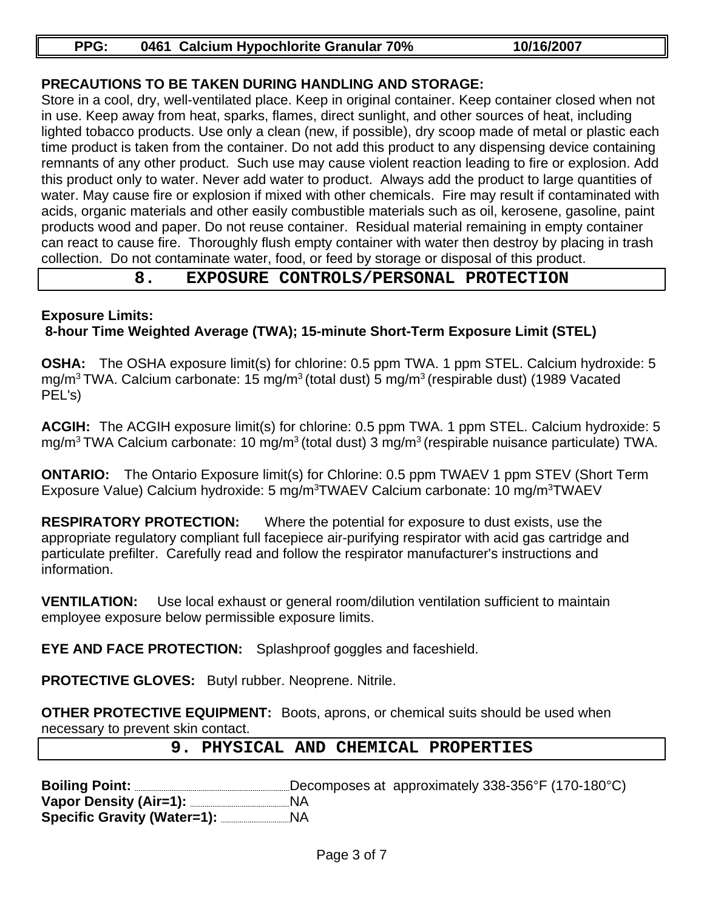#### **PRECAUTIONS TO BE TAKEN DURING HANDLING AND STORAGE:**

Store in a cool, dry, well-ventilated place. Keep in original container. Keep container closed when not in use. Keep away from heat, sparks, flames, direct sunlight, and other sources of heat, including lighted tobacco products. Use only a clean (new, if possible), dry scoop made of metal or plastic each time product is taken from the container. Do not add this product to any dispensing device containing remnants of any other product. Such use may cause violent reaction leading to fire or explosion. Add this product only to water. Never add water to product. Always add the product to large quantities of water. May cause fire or explosion if mixed with other chemicals. Fire may result if contaminated with acids, organic materials and other easily combustible materials such as oil, kerosene, gasoline, paint products wood and paper. Do not reuse container. Residual material remaining in empty container can react to cause fire. Thoroughly flush empty container with water then destroy by placing in trash collection. Do not contaminate water, food, or feed by storage or disposal of this product.

## **8. EXPOSURE CONTROLS/PERSONAL PROTECTION**

#### **Exposure Limits: 8-hour Time Weighted Average (TWA); 15-minute Short-Term Exposure Limit (STEL)**

**OSHA:** The OSHA exposure limit(s) for chlorine: 0.5 ppm TWA. 1 ppm STEL. Calcium hydroxide: 5 mg/m<sup>3</sup> TWA. Calcium carbonate: 15 mg/m<sup>3</sup> (total dust) 5 mg/m<sup>3</sup> (respirable dust) (1989 Vacated PEL's)

**ACGIH:** The ACGIH exposure limit(s) for chlorine: 0.5 ppm TWA. 1 ppm STEL. Calcium hydroxide: 5 mg/m<sup>3</sup> TWA Calcium carbonate: 10 mg/m<sup>3</sup> (total dust) 3 mg/m<sup>3</sup> (respirable nuisance particulate) TWA.

**ONTARIO:** The Ontario Exposure limit(s) for Chlorine: 0.5 ppm TWAEV 1 ppm STEV (Short Term Exposure Value) Calcium hydroxide: 5 mg/m<sup>3</sup>TWAEV Calcium carbonate: 10 mg/m<sup>3</sup>TWAEV

**RESPIRATORY PROTECTION:** Where the potential for exposure to dust exists, use the appropriate regulatory compliant full facepiece air-purifying respirator with acid gas cartridge and particulate prefilter. Carefully read and follow the respirator manufacturer's instructions and information.

**VENTILATION:** Use local exhaust or general room/dilution ventilation sufficient to maintain employee exposure below permissible exposure limits.

**EYE AND FACE PROTECTION:** Splashproof goggles and faceshield.

**PROTECTIVE GLOVES:** Butyl rubber. Neoprene. Nitrile.

**OTHER PROTECTIVE EQUIPMENT:** Boots, aprons, or chemical suits should be used when necessary to prevent skin contact.

#### **9. PHYSICAL AND CHEMICAL PROPERTIES**

**Boiling Point:** Decomposes at approximately 338-356°F (170-180°C) **Vapor Density (Air=1):** NA **Specific Gravity (Water=1):** MA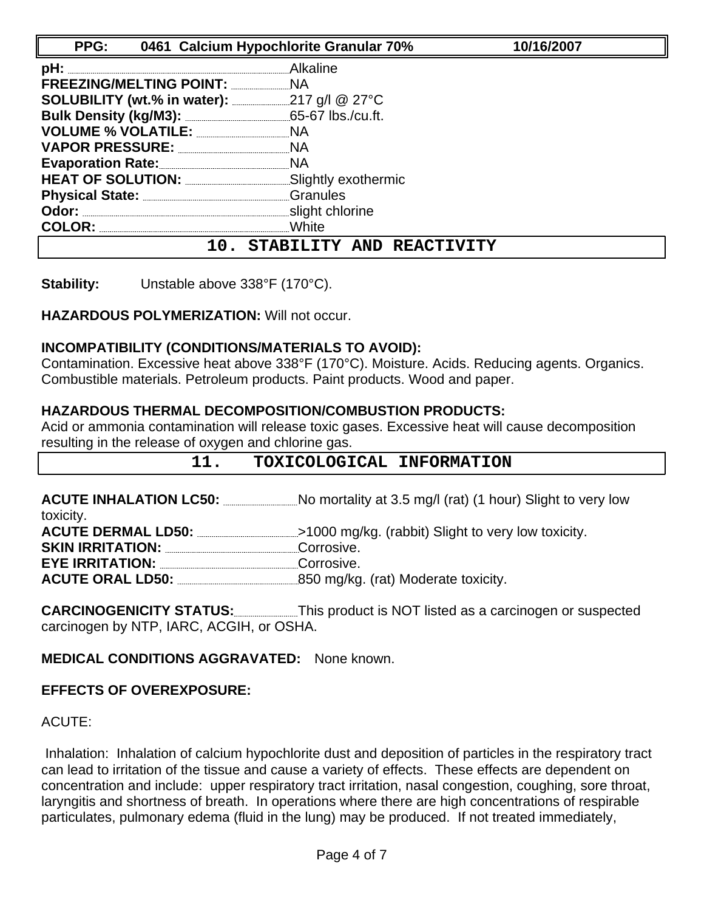| PPG:                                              | 0461 Calcium Hypochlorite Granular 70% | 10/16/2007 |
|---------------------------------------------------|----------------------------------------|------------|
| pH:                                               |                                        |            |
| FREEZING/MELTING POINT: NA                        |                                        |            |
| <b>SOLUBILITY (wt.% in water):</b> 217 g/l @ 27°C |                                        |            |
|                                                   |                                        |            |
| VOLUME % VOLATILE: MANUSION NA                    |                                        |            |
|                                                   | <b>NA</b>                              |            |
| Evaporation Rate: NA                              |                                        |            |
| HEAT OF SOLUTION: Slightly exothermic             |                                        |            |
| Physical State: Canadian Cranules                 |                                        |            |
| Odor:                                             | slight chlorine                        |            |
| <b>COLOR:</b>                                     | White                                  |            |
|                                                   | 10. STABILITY AND REACTIVITY           |            |

**Stability:** Unstable above 338°F (170°C).

## **HAZARDOUS POLYMERIZATION:** Will not occur.

## **INCOMPATIBILITY (CONDITIONS/MATERIALS TO AVOID):**

Contamination. Excessive heat above 338°F (170°C). Moisture. Acids. Reducing agents. Organics. Combustible materials. Petroleum products. Paint products. Wood and paper.

## **HAZARDOUS THERMAL DECOMPOSITION/COMBUSTION PRODUCTS:**

Acid or ammonia contamination will release toxic gases. Excessive heat will cause decomposition resulting in the release of oxygen and chlorine gas.

| 11.       | TOXICOLOGICAL INFORMATION                           |
|-----------|-----------------------------------------------------|
| toxicity. |                                                     |
|           | .>1000 mg/kg. (rabbit) Slight to very low toxicity. |
|           | Corrosive.                                          |
|           | Corrosive.                                          |
|           | .850 mg/kg. (rat) Moderate toxicity.                |

**CARCINOGENICITY STATUS:** This product is NOT listed as a carcinogen or suspected carcinogen by NTP, IARC, ACGIH, or OSHA.

**MEDICAL CONDITIONS AGGRAVATED:** None known.

## **EFFECTS OF OVEREXPOSURE:**

ACUTE:

 Inhalation: Inhalation of calcium hypochlorite dust and deposition of particles in the respiratory tract can lead to irritation of the tissue and cause a variety of effects. These effects are dependent on concentration and include: upper respiratory tract irritation, nasal congestion, coughing, sore throat, laryngitis and shortness of breath. In operations where there are high concentrations of respirable particulates, pulmonary edema (fluid in the lung) may be produced. If not treated immediately,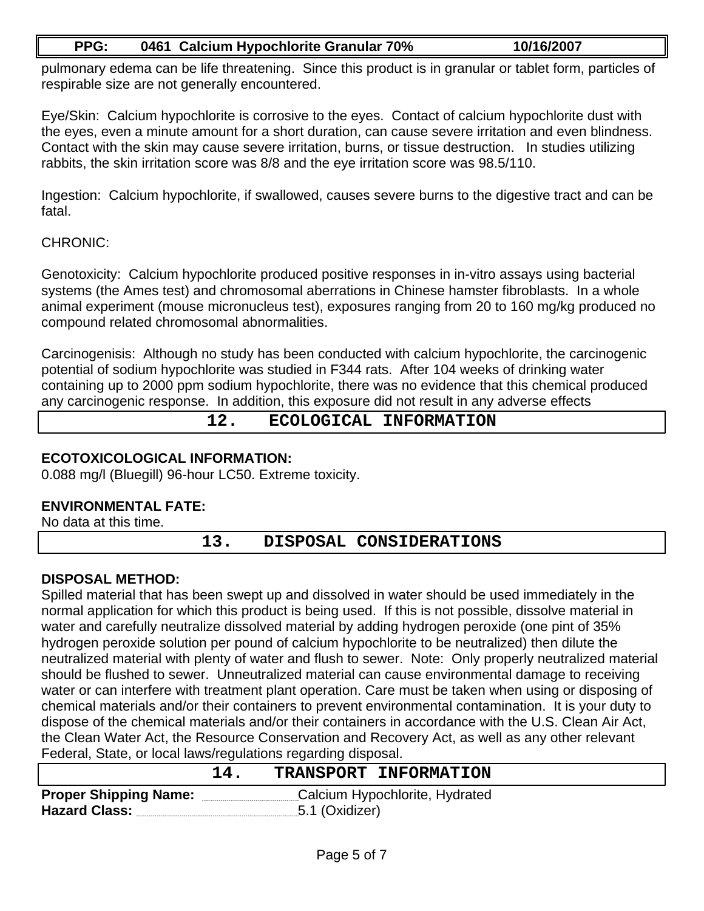#### **PPG: 0461 Calcium Hypochlorite Granular 70% 10/16/2007**

pulmonary edema can be life threatening. Since this product is in granular or tablet form, particles of respirable size are not generally encountered.

Eye/Skin: Calcium hypochlorite is corrosive to the eyes. Contact of calcium hypochlorite dust with the eyes, even a minute amount for a short duration, can cause severe irritation and even blindness. Contact with the skin may cause severe irritation, burns, or tissue destruction. In studies utilizing rabbits, the skin irritation score was 8/8 and the eye irritation score was 98.5/110.

Ingestion: Calcium hypochlorite, if swallowed, causes severe burns to the digestive tract and can be fatal.

#### CHRONIC:

Genotoxicity: Calcium hypochlorite produced positive responses in in-vitro assays using bacterial systems (the Ames test) and chromosomal aberrations in Chinese hamster fibroblasts. In a whole animal experiment (mouse micronucleus test), exposures ranging from 20 to 160 mg/kg produced no compound related chromosomal abnormalities.

Carcinogenisis: Although no study has been conducted with calcium hypochlorite, the carcinogenic potential of sodium hypochlorite was studied in F344 rats. After 104 weeks of drinking water containing up to 2000 ppm sodium hypochlorite, there was no evidence that this chemical produced any carcinogenic response. In addition, this exposure did not result in any adverse effects

**12. ECOLOGICAL INFORMATION**

#### **ECOTOXICOLOGICAL INFORMATION:**

0.088 mg/l (Bluegill) 96-hour LC50. Extreme toxicity.

#### **ENVIRONMENTAL FATE:**

No data at this time.

**13. DISPOSAL CONSIDERATIONS**

#### **DISPOSAL METHOD:**

Spilled material that has been swept up and dissolved in water should be used immediately in the normal application for which this product is being used. If this is not possible, dissolve material in water and carefully neutralize dissolved material by adding hydrogen peroxide (one pint of 35% hydrogen peroxide solution per pound of calcium hypochlorite to be neutralized) then dilute the neutralized material with plenty of water and flush to sewer. Note: Only properly neutralized material should be flushed to sewer. Unneutralized material can cause environmental damage to receiving water or can interfere with treatment plant operation. Care must be taken when using or disposing of chemical materials and/or their containers to prevent environmental contamination. It is your duty to dispose of the chemical materials and/or their containers in accordance with the U.S. Clean Air Act, the Clean Water Act, the Resource Conservation and Recovery Act, as well as any other relevant Federal, State, or local laws/regulations regarding disposal.

|                                                                          | 14. | TRANSPORT INFORMATION          |
|--------------------------------------------------------------------------|-----|--------------------------------|
| <b>Proper Shipping Name:</b><br>Hazard Class: Manuscriptus Hazard Class: |     | Calcium Hypochlorite, Hydrated |
|                                                                          |     | 5.1 (Oxidizer)                 |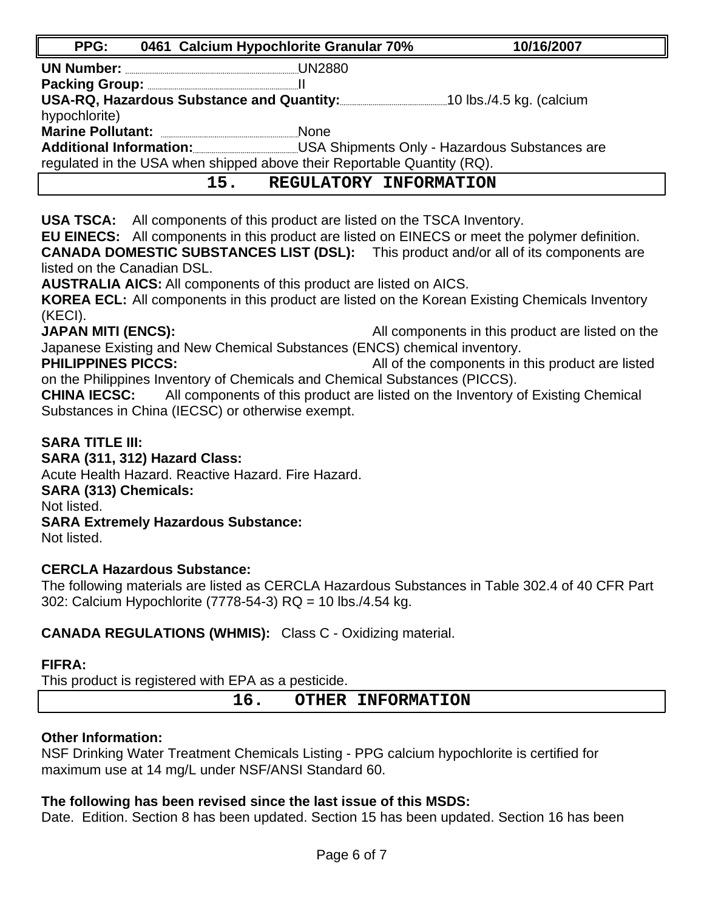| PPG:                                                         | 0461 Calcium Hypochlorite Granular 70%                                  | 10/16/2007                                                            |
|--------------------------------------------------------------|-------------------------------------------------------------------------|-----------------------------------------------------------------------|
|                                                              | <b>UN2880</b>                                                           |                                                                       |
|                                                              |                                                                         |                                                                       |
|                                                              |                                                                         | USA-RQ, Hazardous Substance and Quantity: 10 lbs./4.5 kg. (calcium    |
| hypochlorite)                                                |                                                                         |                                                                       |
| Marine Pollutant: <b>Marine Pollutant:</b> Marine Pollutant: | <b>None</b>                                                             |                                                                       |
|                                                              |                                                                         | Additional Information: USA Shipments Only - Hazardous Substances are |
|                                                              | regulated in the USA when shipped above their Reportable Quantity (RQ). |                                                                       |
|                                                              | 15.                                                                     | REGULATORY INFORMATION                                                |

**USA TSCA:** All components of this product are listed on the TSCA Inventory.

**EU EINECS:** All components in this product are listed on EINECS or meet the polymer definition. **CANADA DOMESTIC SUBSTANCES LIST (DSL):** This product and/or all of its components are listed on the Canadian DSL.

**AUSTRALIA AICS:** All components of this product are listed on AICS.

**KOREA ECL:** All components in this product are listed on the Korean Existing Chemicals Inventory (KECI).

**JAPAN MITI (ENCS):** All components in this product are listed on the

Japanese Existing and New Chemical Substances (ENCS) chemical inventory.

**PHILIPPINES PICCS:** All of the components in this product are listed on the Philippines Inventory of Chemicals and Chemical Substances (PICCS).

**CHINA IECSC:** All components of this product are listed on the Inventory of Existing Chemical Substances in China (IECSC) or otherwise exempt.

## **SARA TITLE III:**

## **SARA (311, 312) Hazard Class:**

Acute Health Hazard. Reactive Hazard. Fire Hazard.

**SARA (313) Chemicals:**

Not listed.

## **SARA Extremely Hazardous Substance:**

Not listed.

## **CERCLA Hazardous Substance:**

The following materials are listed as CERCLA Hazardous Substances in Table 302.4 of 40 CFR Part 302: Calcium Hypochlorite (7778-54-3) RQ = 10 lbs./4.54 kg.

## **CANADA REGULATIONS (WHMIS):** Class C - Oxidizing material.

#### **FIFRA:**

This product is registered with EPA as a pesticide.

**16. OTHER INFORMATION**

## **Other Information:**

NSF Drinking Water Treatment Chemicals Listing - PPG calcium hypochlorite is certified for maximum use at 14 mg/L under NSF/ANSI Standard 60.

## **The following has been revised since the last issue of this MSDS:**

Date. Edition. Section 8 has been updated. Section 15 has been updated. Section 16 has been